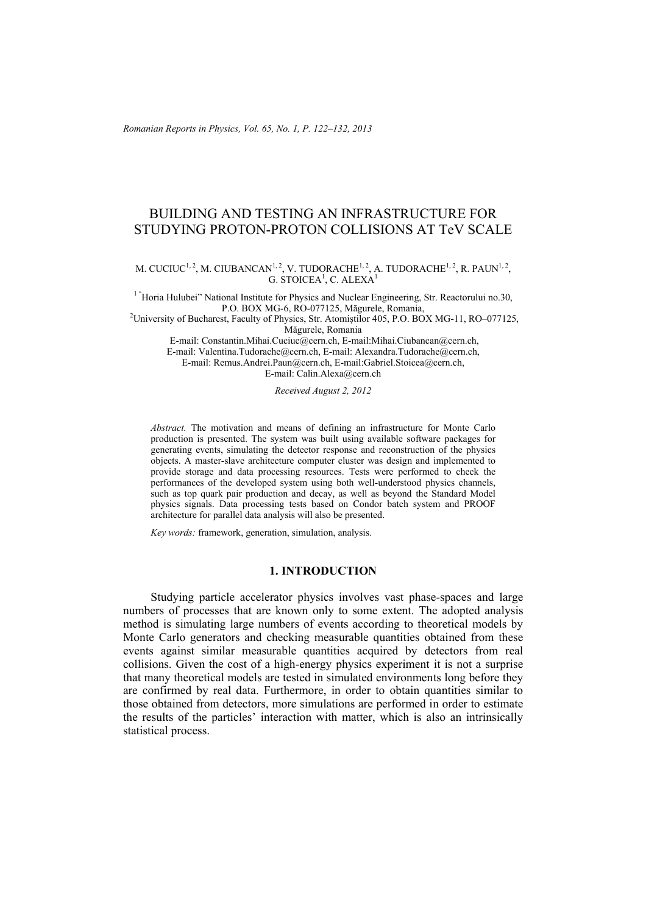*Romanian Reports in Physics, Vol. 65, No. 1, P. 122–132, 2013*

# BUILDING AND TESTING AN INFRASTRUCTURE FOR STUDYING PROTON-PROTON COLLISIONS AT TeV SCALE

## M. CUCIUC<sup>1, 2</sup>, M. CIUBANCAN<sup>1, 2</sup>, V. TUDORACHE<sup>1, 2</sup>, A. TUDORACHE<sup>1, 2</sup>, R. PAUN<sup>1, 2</sup>,  $G.$  STOICEA<sup>1</sup>, C. ALEXA<sup>1</sup>

<sup>1</sup> "Horia Hulubei" National Institute for Physics and Nuclear Engineering, Str. Reactorului no.30,<br>P.O. BOX MG-6, RO-077125, Măgurele, Romania,

P.O. BOX MG-6, RO-077125, Măgurele, Romania,<br><sup>2</sup>University of Bucharest, Faculty of Physics, Str. Atomiștilor 405, P.O. BOX MG-11, RO–077125, Măgurele, Romania

 E-mail: Constantin.Mihai.Cuciuc@cern.ch, E-mail:Mihai.Ciubancan@cern.ch, E-mail: Valentina.Tudorache@cern.ch, E-mail: Alexandra.Tudorache@cern.ch, E-mail: Remus.Andrei.Paun@cern.ch, E-mail:Gabriel.Stoicea@cern.ch, E-mail: Calin.Alexa@cern.ch

*Received August 2, 2012* 

*Abstract.* The motivation and means of defining an infrastructure for Monte Carlo production is presented. The system was built using available software packages for generating events, simulating the detector response and reconstruction of the physics objects. A master-slave architecture computer cluster was design and implemented to provide storage and data processing resources. Tests were performed to check the performances of the developed system using both well-understood physics channels, such as top quark pair production and decay, as well as beyond the Standard Model physics signals. Data processing tests based on Condor batch system and PROOF architecture for parallel data analysis will also be presented.

*Key words:* framework, generation, simulation, analysis.

#### **1. INTRODUCTION**

Studying particle accelerator physics involves vast phase-spaces and large numbers of processes that are known only to some extent. The adopted analysis method is simulating large numbers of events according to theoretical models by Monte Carlo generators and checking measurable quantities obtained from these events against similar measurable quantities acquired by detectors from real collisions. Given the cost of a high-energy physics experiment it is not a surprise that many theoretical models are tested in simulated environments long before they are confirmed by real data. Furthermore, in order to obtain quantities similar to those obtained from detectors, more simulations are performed in order to estimate the results of the particles' interaction with matter, which is also an intrinsically statistical process.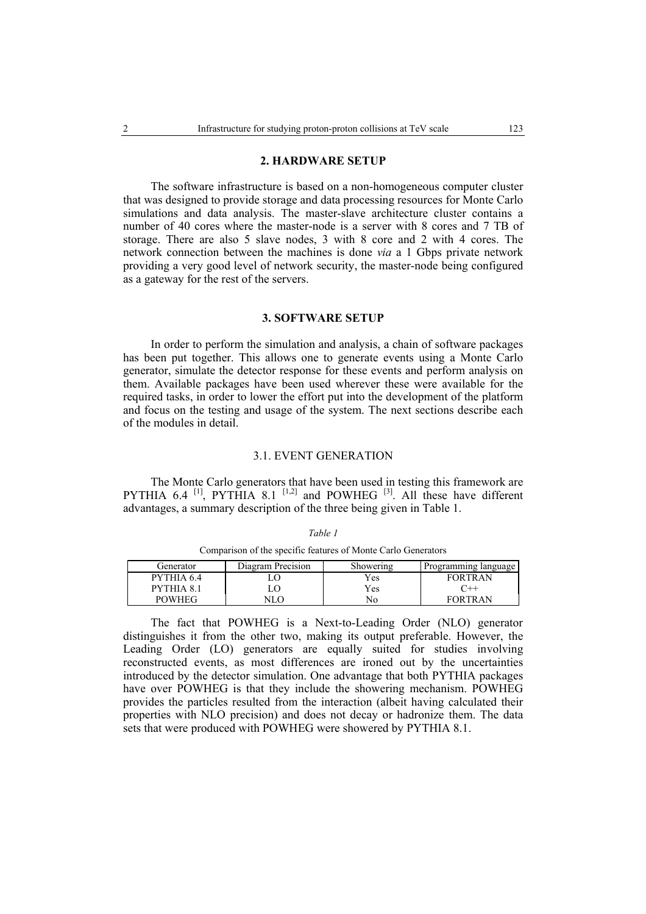#### **2. HARDWARE SETUP**

The software infrastructure is based on a non-homogeneous computer cluster that was designed to provide storage and data processing resources for Monte Carlo simulations and data analysis. The master-slave architecture cluster contains a number of 40 cores where the master-node is a server with 8 cores and 7 TB of storage. There are also 5 slave nodes, 3 with 8 core and 2 with 4 cores. The network connection between the machines is done *via* a 1 Gbps private network providing a very good level of network security, the master-node being configured as a gateway for the rest of the servers.

# **3. SOFTWARE SETUP**

In order to perform the simulation and analysis, a chain of software packages has been put together. This allows one to generate events using a Monte Carlo generator, simulate the detector response for these events and perform analysis on them. Available packages have been used wherever these were available for the required tasks, in order to lower the effort put into the development of the platform and focus on the testing and usage of the system. The next sections describe each of the modules in detail.

#### 3.1. EVENT GENERATION

The Monte Carlo generators that have been used in testing this framework are PYTHIA 6.4 <sup>[1]</sup>, PYTHIA 8.1 <sup>[1,2]</sup> and POWHEG <sup>[3]</sup>. All these have different advantages, a summary description of the three being given in Table 1.

| Generator     | Diagram Precision | Showering | Programming language |
|---------------|-------------------|-----------|----------------------|
| PYTHIA 6.4    |                   | Yes       | <b>FORTRAN</b>       |
| PYTHIA 81     |                   | Yes       | $^{\sim}$ + +        |
| <b>POWHEG</b> |                   | No        | <b>FORTRAN</b>       |

*Table 1*  Comparison of the specific features of Monte Carlo Generators

The fact that POWHEG is a Next-to-Leading Order (NLO) generator distinguishes it from the other two, making its output preferable. However, the Leading Order (LO) generators are equally suited for studies involving reconstructed events, as most differences are ironed out by the uncertainties introduced by the detector simulation. One advantage that both PYTHIA packages have over POWHEG is that they include the showering mechanism. POWHEG provides the particles resulted from the interaction (albeit having calculated their properties with NLO precision) and does not decay or hadronize them. The data sets that were produced with POWHEG were showered by PYTHIA 8.1.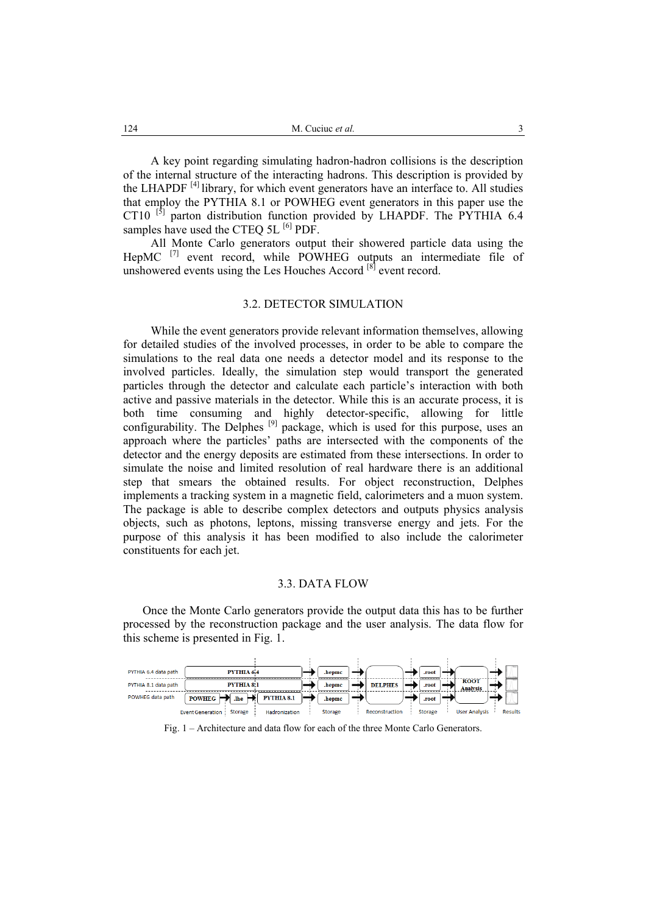A key point regarding simulating hadron-hadron collisions is the description of the internal structure of the interacting hadrons. This description is provided by the LHAPDF [4] library, for which event generators have an interface to. All studies that employ the PYTHIA 8.1 or POWHEG event generators in this paper use the CT10  $^{[5]}$  parton distribution function provided by LHAPDF. The PYTHIA 6.4 samples have used the CTEQ 5L <sup>[6]</sup> PDF.

All Monte Carlo generators output their showered particle data using the HepMC <sup>[7]</sup> event record, while POWHEG outputs an intermediate file of unshowered events using the Les Houches Accord  $[8]$  event record.

#### 3.2. DETECTOR SIMULATION

While the event generators provide relevant information themselves, allowing for detailed studies of the involved processes, in order to be able to compare the simulations to the real data one needs a detector model and its response to the involved particles. Ideally, the simulation step would transport the generated particles through the detector and calculate each particle's interaction with both active and passive materials in the detector. While this is an accurate process, it is both time consuming and highly detector-specific, allowing for little configurability. The Delphes <sup>[9]</sup> package, which is used for this purpose, uses an approach where the particles' paths are intersected with the components of the detector and the energy deposits are estimated from these intersections. In order to simulate the noise and limited resolution of real hardware there is an additional step that smears the obtained results. For object reconstruction, Delphes implements a tracking system in a magnetic field, calorimeters and a muon system. The package is able to describe complex detectors and outputs physics analysis objects, such as photons, leptons, missing transverse energy and jets. For the purpose of this analysis it has been modified to also include the calorimeter constituents for each jet.

## 3.3. DATA FLOW

Once the Monte Carlo generators provide the output data this has to be further processed by the reconstruction package and the user analysis. The data flow for this scheme is presented in Fig. 1.



Fig. 1 – Architecture and data flow for each of the three Monte Carlo Generators.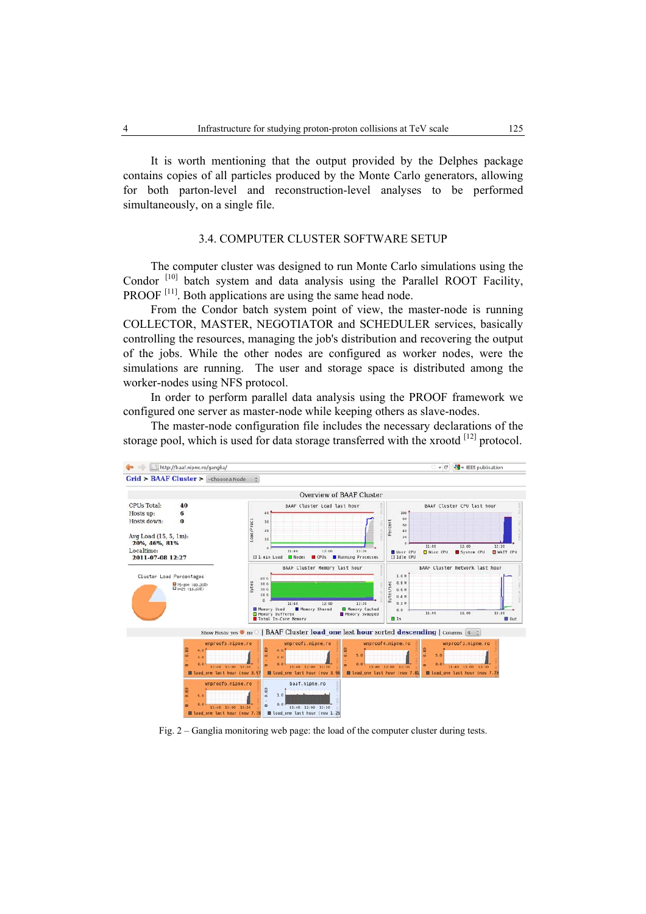It is worth mentioning that the output provided by the Delphes package contains copies of all particles produced by the Monte Carlo generators, allowing for both parton-level and reconstruction-level analyses to be performed simultaneously, on a single file.

# 3.4. COMPUTER CLUSTER SOFTWARE SETUP

The computer cluster was designed to run Monte Carlo simulations using the Condor  $[10]$  batch system and data analysis using the Parallel ROOT Facility, PROOF<sup>[11]</sup>. Both applications are using the same head node.

From the Condor batch system point of view, the master-node is running COLLECTOR, MASTER, NEGOTIATOR and SCHEDULER services, basically controlling the resources, managing the job's distribution and recovering the output of the jobs. While the other nodes are configured as worker nodes, were the simulations are running. The user and storage space is distributed among the worker-nodes using NFS protocol.

In order to perform parallel data analysis using the PROOF framework we configured one server as master-node while keeping others as slave-nodes.

The master-node configuration file includes the necessary declarations of the storage pool, which is used for data storage transferred with the xrootd  $[12]$  protocol.



Fig. 2 – Ganglia monitoring web page: the load of the computer cluster during tests.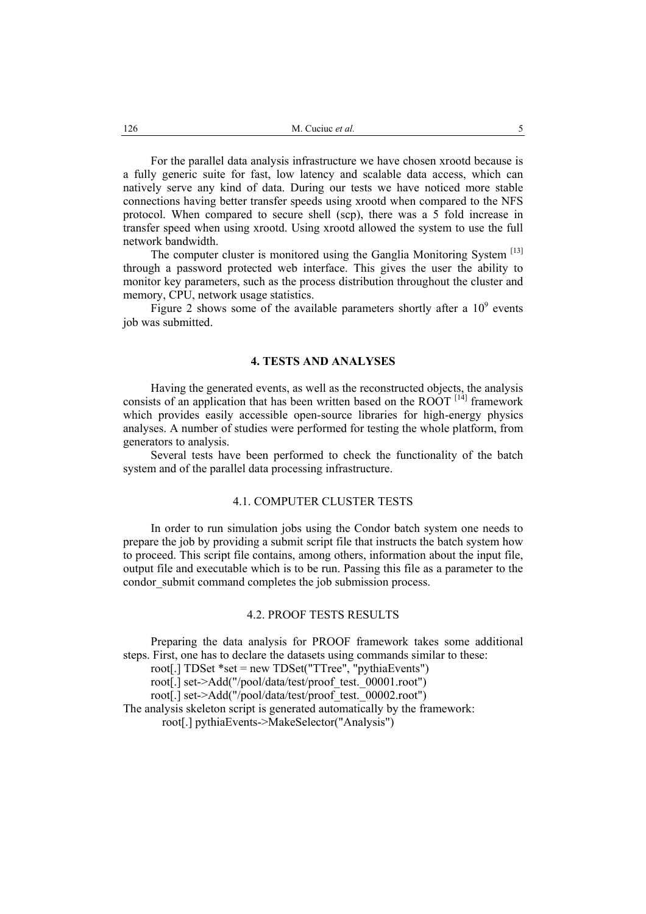For the parallel data analysis infrastructure we have chosen xrootd because is a fully generic suite for fast, low latency and scalable data access, which can natively serve any kind of data. During our tests we have noticed more stable connections having better transfer speeds using xrootd when compared to the NFS protocol. When compared to secure shell (scp), there was a 5 fold increase in transfer speed when using xrootd. Using xrootd allowed the system to use the full network bandwidth.

The computer cluster is monitored using the Ganglia Monitoring System [13] through a password protected web interface. This gives the user the ability to monitor key parameters, such as the process distribution throughout the cluster and memory, CPU, network usage statistics.

Figure 2 shows some of the available parameters shortly after a  $10<sup>9</sup>$  events job was submitted.

# **4. TESTS AND ANALYSES**

Having the generated events, as well as the reconstructed objects, the analysis consists of an application that has been written based on the ROOT  $^{[14]}$  framework which provides easily accessible open-source libraries for high-energy physics analyses. A number of studies were performed for testing the whole platform, from generators to analysis.

Several tests have been performed to check the functionality of the batch system and of the parallel data processing infrastructure.

## 4.1. COMPUTER CLUSTER TESTS

In order to run simulation jobs using the Condor batch system one needs to prepare the job by providing a submit script file that instructs the batch system how to proceed. This script file contains, among others, information about the input file, output file and executable which is to be run. Passing this file as a parameter to the condor submit command completes the job submission process.

#### 4.2. PROOF TESTS RESULTS

Preparing the data analysis for PROOF framework takes some additional steps. First, one has to declare the datasets using commands similar to these: root[.] TDSet \*set = new TDSet("TTree", "pythiaEvents") root[.] set->Add("/pool/data/test/proof\_test.\_00001.root") root[.] set->Add("/pool/data/test/proof\_test.\_00002.root") The analysis skeleton script is generated automatically by the framework: root[.] pythiaEvents->MakeSelector("Analysis")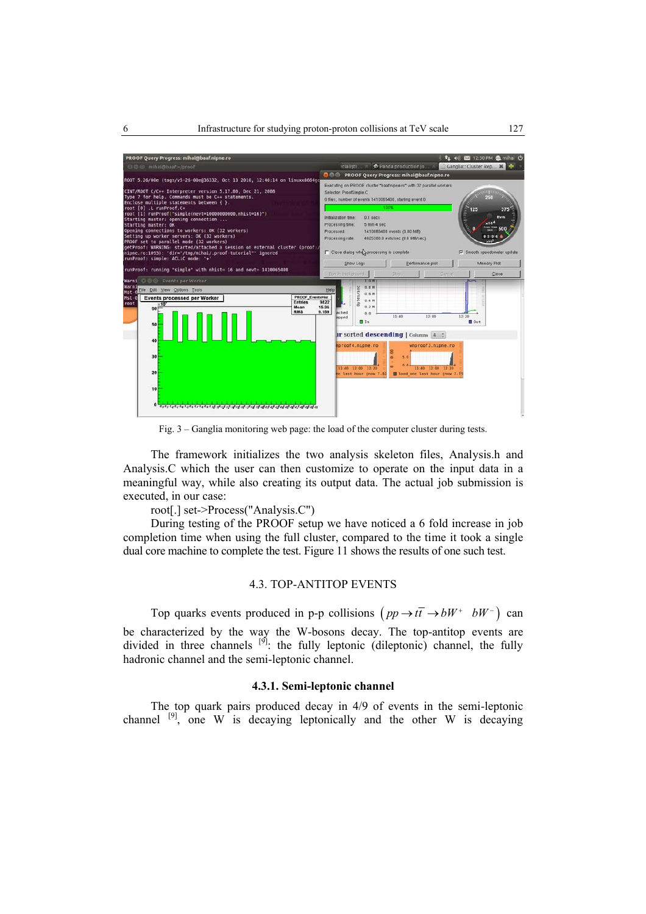

Fig. 3 – Ganglia monitoring web page: the load of the computer cluster during tests.

The framework initializes the two analysis skeleton files, Analysis.h and Analysis.C which the user can then customize to operate on the input data in a meaningful way, while also creating its output data. The actual job submission is executed, in our case:

root[.] set->Process("Analysis.C")

During testing of the PROOF setup we have noticed a 6 fold increase in job completion time when using the full cluster, compared to the time it took a single dual core machine to complete the test. Figure 11 shows the results of one such test.

# 4.3. TOP-ANTITOP EVENTS

Top quarks events produced in p-p collisions  $(pp \rightarrow t\bar{t} \rightarrow bW^+ bW^-)$  can be characterized by the way the W-bosons decay. The top-antitop events are divided in three channels  $[9]$ : the fully leptonic (dileptonic) channel, the fully hadronic channel and the semi-leptonic channel.

# **4.3.1. Semi-leptonic channel**

The top quark pairs produced decay in 4/9 of events in the semi-leptonic channel  $[9]$ , one W is decaying leptonically and the other W is decaying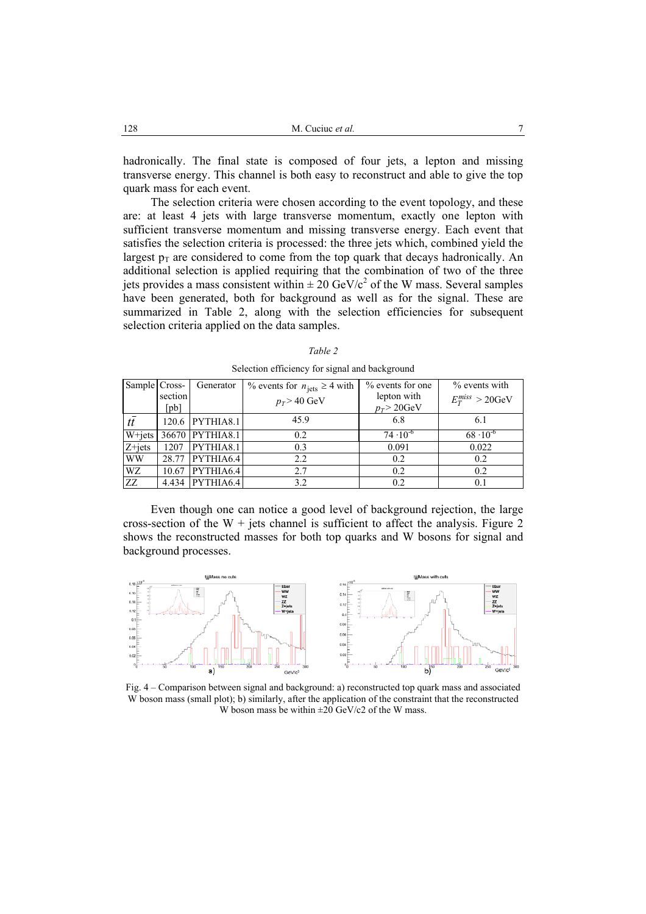hadronically. The final state is composed of four jets, a lepton and missing transverse energy. This channel is both easy to reconstruct and able to give the top quark mass for each event.

The selection criteria were chosen according to the event topology, and these are: at least 4 jets with large transverse momentum, exactly one lepton with sufficient transverse momentum and missing transverse energy. Each event that satisfies the selection criteria is processed: the three jets which, combined yield the largest  $p_T$  are considered to come from the top quark that decays hadronically. An additional selection is applied requiring that the combination of two of the three jets provides a mass consistent within  $\pm 20$  GeV/ $c^2$  of the W mass. Several samples have been generated, both for background as well as for the signal. These are summarized in Table 2, along with the selection efficiencies for subsequent selection criteria applied on the data samples.

| Sample Cross- |                         | Generator       | % events for $n_{\text{jets}} \geq 4$ with | $%$ events for one           | $\%$ events with      |
|---------------|-------------------------|-----------------|--------------------------------------------|------------------------------|-----------------------|
|               | section<br>$[{\rm pb}]$ |                 | $p_T > 40 \text{ GeV}$                     | lepton with<br>$p_T$ > 20GeV | $E_T^{miss} > 20$ GeV |
|               |                         |                 |                                            |                              |                       |
| $t\bar{t}$    |                         | 120.6 PYTHIA8.1 | 45.9                                       | 6.8                          | 6.1                   |
| W+jets        |                         | 36670 PYTHIA8.1 | 0.2                                        | $74 \cdot 10^{-6}$           | $68 \cdot 10^{-6}$    |
| $Z + jets$    | 1207                    | PYTHIA8.1       | 0.3                                        | 0.091                        | 0.022                 |
| <b>WW</b>     | 28.77                   | PYTHIA6.4       | 2.2                                        | 0.2                          | 0.2                   |
| WZ            | 10.67                   | PYTHIA6.4       | 2.7                                        | 0.2                          | 0.2                   |
| ZZ            |                         | 4.434 PYTHIA6.4 | 3.2                                        | 0.2                          | 0.1                   |

*Table 2*  Selection efficiency for signal and background

Even though one can notice a good level of background rejection, the large cross-section of the  $W +$  jets channel is sufficient to affect the analysis. Figure 2 shows the reconstructed masses for both top quarks and W bosons for signal and background processes.



Fig. 4 – Comparison between signal and background: a) reconstructed top quark mass and associated W boson mass (small plot); b) similarly, after the application of the constraint that the reconstructed W boson mass be within  $\pm 20$  GeV/c2 of the W mass.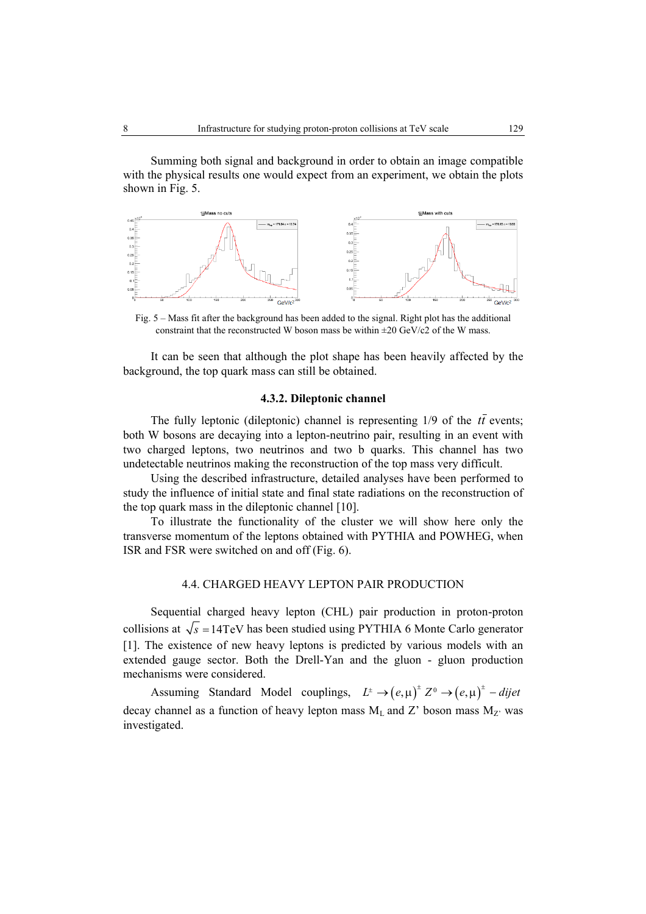Summing both signal and background in order to obtain an image compatible with the physical results one would expect from an experiment, we obtain the plots shown in Fig. 5.



Fig. 5 – Mass fit after the background has been added to the signal. Right plot has the additional constraint that the reconstructed W boson mass be within ±20 GeV/c2 of the W mass.

It can be seen that although the plot shape has been heavily affected by the background, the top quark mass can still be obtained.

#### **4.3.2. Dileptonic channel**

The fully leptonic (dileptonic) channel is representing  $1/9$  of the  $t\bar{t}$  events; both W bosons are decaying into a lepton-neutrino pair, resulting in an event with two charged leptons, two neutrinos and two b quarks. This channel has two undetectable neutrinos making the reconstruction of the top mass very difficult.

Using the described infrastructure, detailed analyses have been performed to study the influence of initial state and final state radiations on the reconstruction of the top quark mass in the dileptonic channel [10].

To illustrate the functionality of the cluster we will show here only the transverse momentum of the leptons obtained with PYTHIA and POWHEG, when ISR and FSR were switched on and off (Fig. 6).

## 4.4. CHARGED HEAVY LEPTON PAIR PRODUCTION

Sequential charged heavy lepton (CHL) pair production in proton-proton collisions at  $\sqrt{s}$  =14TeV has been studied using PYTHIA 6 Monte Carlo generator [1]. The existence of new heavy leptons is predicted by various models with an extended gauge sector. Both the Drell-Yan and the gluon - gluon production mechanisms were considered.

Assuming Standard Model couplings,  $L^{\pm} \rightarrow (e, \mu)^{\pm} Z^0 \rightarrow (e, \mu)^{\pm} -$  *dijet* decay channel as a function of heavy lepton mass  $M_L$  and Z' boson mass  $M_{Z'}$  was investigated.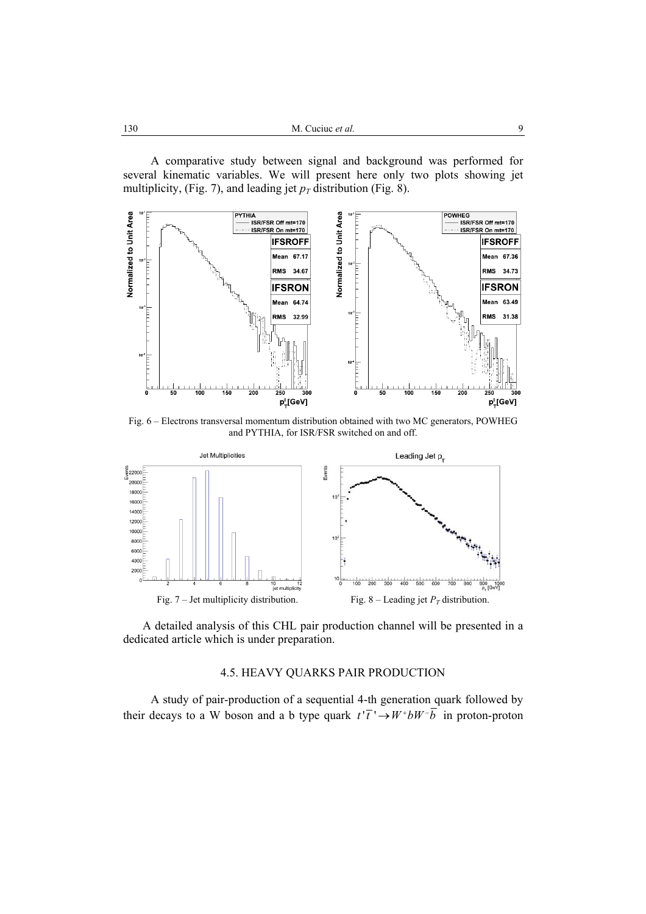A comparative study between signal and background was performed for several kinematic variables. We will present here only two plots showing jet multiplicity, (Fig. 7), and leading jet  $p<sub>T</sub>$  distribution (Fig. 8).



Fig. 6 – Electrons transversal momentum distribution obtained with two MC generators, POWHEG and PYTHIA, for ISR/FSR switched on and off.



A detailed analysis of this CHL pair production channel will be presented in a dedicated article which is under preparation.

# 4.5. HEAVY QUARKS PAIR PRODUCTION

A study of pair-production of a sequential 4-th generation quark followed by their decays to a W boson and a b type quark  $t^{\prime} \overline{t}^{\prime} \rightarrow W^+ b W^- \overline{b}$  in proton-proton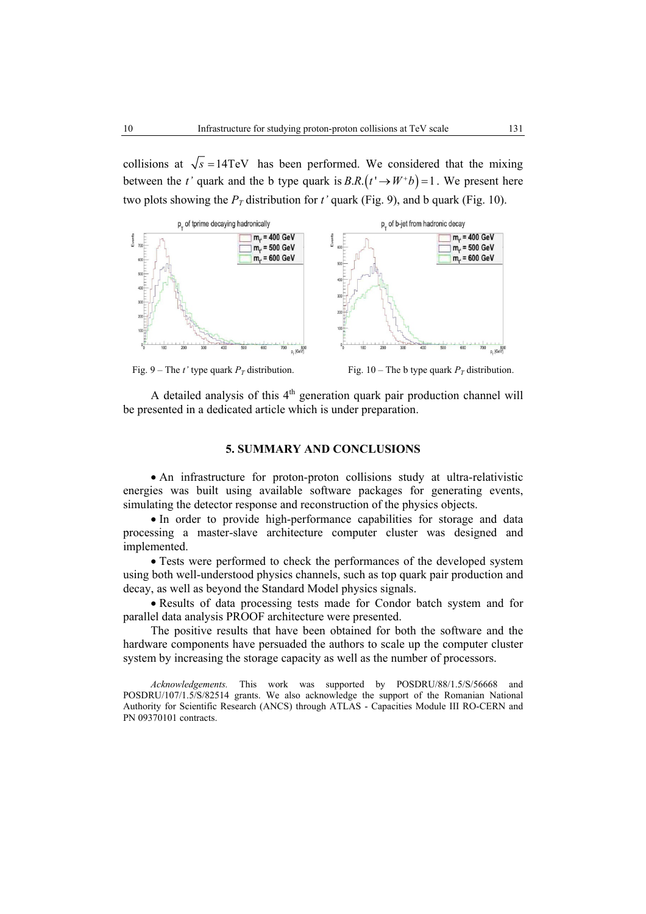collisions at  $\sqrt{s}$  =14TeV has been performed. We considered that the mixing between the *t'* quark and the b type quark is  $B.R.(t' \rightarrow W^+b) = 1$ . We present here two plots showing the  $P_T$  distribution for *t'* quark (Fig. 9), and b quark (Fig. 10).



Fig. 9 – The *t*' type quark  $P_T$  distribution. Fig. 10 – The b type quark  $P_T$  distribution.

A detailed analysis of this  $4<sup>th</sup>$  generation quark pair production channel will be presented in a dedicated article which is under preparation.

# **5. SUMMARY AND CONCLUSIONS**

• An infrastructure for proton-proton collisions study at ultra-relativistic energies was built using available software packages for generating events, simulating the detector response and reconstruction of the physics objects.

• In order to provide high-performance capabilities for storage and data processing a master-slave architecture computer cluster was designed and implemented.

• Tests were performed to check the performances of the developed system using both well-understood physics channels, such as top quark pair production and decay, as well as beyond the Standard Model physics signals.

• Results of data processing tests made for Condor batch system and for parallel data analysis PROOF architecture were presented.

The positive results that have been obtained for both the software and the hardware components have persuaded the authors to scale up the computer cluster system by increasing the storage capacity as well as the number of processors.

*Acknowledgements.* This work was supported by POSDRU/88/1.5/S/56668 and POSDRU/107/1.5/S/82514 grants. We also acknowledge the support of the Romanian National Authority for Scientific Research (ANCS) through ATLAS - Capacities Module III RO-CERN and PN 09370101 contracts.